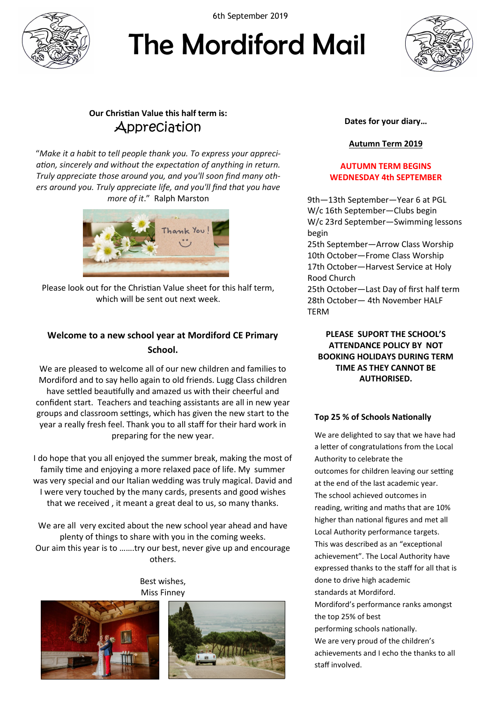

6th September 2019

# The Mordiford Mail



# **Our Christian Value this half term is: Appreciation**

"*Make it a habit to tell people thank you. To express your appreciation, sincerely and without the expectation of anything in return. Truly appreciate those around you, and you'll soon find many others around you. Truly appreciate life, and you'll find that you have more of it*." [Ralph Marston](https://www.brainyquote.com/authors/ralph-marston-quotes)



Please look out for the Christian Value sheet for this half term, which will be sent out next week.

# **Welcome to a new school year at Mordiford CE Primary School.**

We are pleased to welcome all of our new children and families to Mordiford and to say hello again to old friends. Lugg Class children have settled beautifully and amazed us with their cheerful and confident start. Teachers and teaching assistants are all in new year groups and classroom settings, which has given the new start to the year a really fresh feel. Thank you to all staff for their hard work in preparing for the new year.

I do hope that you all enjoyed the summer break, making the most of family time and enjoying a more relaxed pace of life. My summer was very special and our Italian wedding was truly magical. David and I were very touched by the many cards, presents and good wishes that we received , it meant a great deal to us, so many thanks.

We are all very excited about the new school year ahead and have plenty of things to share with you in the coming weeks. Our aim this year is to …….try our best, never give up and encourage others.

> Best wishes, Miss Finney





### **Dates for your diary…**

# **Autumn Term 2019**

## **AUTUMN TERM BEGINS WEDNESDAY 4th SEPTEMBER**

9th—13th September—Year 6 at PGL W/c 16th September—Clubs begin W/c 23rd September—Swimming lessons begin

25th September—Arrow Class Worship 10th October—Frome Class Worship 17th October—Harvest Service at Holy Rood Church 25th October—Last Day of first half term

28th October— 4th November HALF TERM

**PLEASE SUPORT THE SCHOOL'S ATTENDANCE POLICY BY NOT BOOKING HOLIDAYS DURING TERM TIME AS THEY CANNOT BE AUTHORISED.**

## **Top 25 % of Schools Nationally**

We are delighted to say that we have had a letter of congratulations from the Local Authority to celebrate the outcomes for children leaving our setting at the end of the last academic year. The school achieved outcomes in reading, writing and maths that are 10% higher than national figures and met all Local Authority performance targets. This was described as an "exceptional achievement". The Local Authority have expressed thanks to the staff for all that is done to drive high academic standards at Mordiford. Mordiford's performance ranks amongst the top 25% of best performing schools nationally. We are very proud of the children's achievements and I echo the thanks to all staff involved.